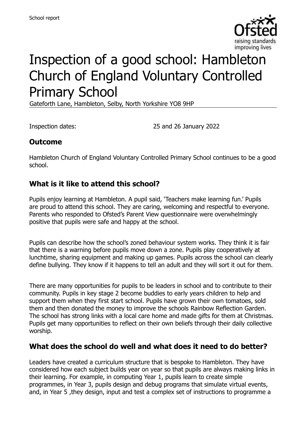

# Inspection of a good school: Hambleton Church of England Voluntary Controlled Primary School

Gateforth Lane, Hambleton, Selby, North Yorkshire YO8 9HP

Inspection dates: 25 and 26 January 2022

#### **Outcome**

Hambleton Church of England Voluntary Controlled Primary School continues to be a good school.

#### **What is it like to attend this school?**

Pupils enjoy learning at Hambleton. A pupil said, 'Teachers make learning fun.' Pupils are proud to attend this school. They are caring, welcoming and respectful to everyone. Parents who responded to Ofsted's Parent View questionnaire were overwhelmingly positive that pupils were safe and happy at the school.

Pupils can describe how the school's zoned behaviour system works. They think it is fair that there is a warning before pupils move down a zone. Pupils play cooperatively at lunchtime, sharing equipment and making up games. Pupils across the school can clearly define bullying. They know if it happens to tell an adult and they will sort it out for them.

There are many opportunities for pupils to be leaders in school and to contribute to their community. Pupils in key stage 2 become buddies to early years children to help and support them when they first start school. Pupils have grown their own tomatoes, sold them and then donated the money to improve the schools Rainbow Reflection Garden. The school has strong links with a local care home and made gifts for them at Christmas. Pupils get many opportunities to reflect on their own beliefs through their daily collective worship.

#### **What does the school do well and what does it need to do better?**

Leaders have created a curriculum structure that is bespoke to Hambleton. They have considered how each subject builds year on year so that pupils are always making links in their learning. For example, in computing Year 1, pupils learn to create simple programmes, in Year 3, pupils design and debug programs that simulate virtual events, and, in Year 5 ,they design, input and test a complex set of instructions to programme a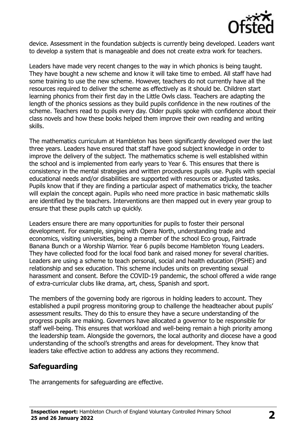

device. Assessment in the foundation subjects is currently being developed. Leaders want to develop a system that is manageable and does not create extra work for teachers.

Leaders have made very recent changes to the way in which phonics is being taught. They have bought a new scheme and know it will take time to embed. All staff have had some training to use the new scheme. However, teachers do not currently have all the resources required to deliver the scheme as effectively as it should be. Children start learning phonics from their first day in the Little Owls class. Teachers are adapting the length of the phonics sessions as they build pupils confidence in the new routines of the scheme. Teachers read to pupils every day. Older pupils spoke with confidence about their class novels and how these books helped them improve their own reading and writing skills.

The mathematics curriculum at Hambleton has been significantly developed over the last three years. Leaders have ensured that staff have good subject knowledge in order to improve the delivery of the subject. The mathematics scheme is well established within the school and is implemented from early years to Year 6. This ensures that there is consistency in the mental strategies and written procedures pupils use. Pupils with special educational needs and/or disabilities are supported with resources or adjusted tasks. Pupils know that if they are finding a particular aspect of mathematics tricky, the teacher will explain the concept again. Pupils who need more practice in basic mathematic skills are identified by the teachers. Interventions are then mapped out in every year group to ensure that these pupils catch up quickly.

Leaders ensure there are many opportunities for pupils to foster their personal development. For example, singing with Opera North, understanding trade and economics, visiting universities, being a member of the school Eco group, Fairtrade Banana Bunch or a Worship Warrior. Year 6 pupils become Hambleton Young Leaders. They have collected food for the local food bank and raised money for several charities. Leaders are using a scheme to teach personal, social and health education (PSHE) and relationship and sex education. This scheme includes units on preventing sexual harassment and consent. Before the COVID-19 pandemic, the school offered a wide range of extra-curricular clubs like drama, art, chess, Spanish and sport.

The members of the governing body are rigorous in holding leaders to account. They established a pupil progress monitoring group to challenge the headteacher about pupils' assessment results. They do this to ensure they have a secure understanding of the progress pupils are making. Governors have allocated a governor to be responsible for staff well-being. This ensures that workload and well-being remain a high priority among the leadership team. Alongside the governors, the local authority and diocese have a good understanding of the school's strengths and areas for development. They know that leaders take effective action to address any actions they recommend.

# **Safeguarding**

The arrangements for safeguarding are effective.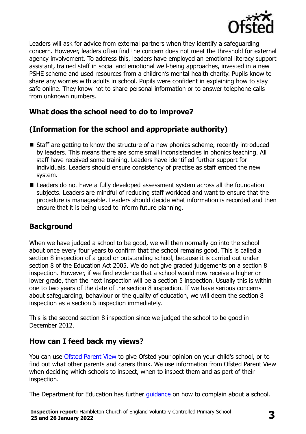

Leaders will ask for advice from external partners when they identify a safeguarding concern. However, leaders often find the concern does not meet the threshold for external agency involvement. To address this, leaders have employed an emotional literacy support assistant, trained staff in social and emotional well-being approaches, invested in a new PSHE scheme and used resources from a children's mental health charity. Pupils know to share any worries with adults in school. Pupils were confident in explaining how to stay safe online. They know not to share personal information or to answer telephone calls from unknown numbers.

# **What does the school need to do to improve?**

# **(Information for the school and appropriate authority)**

- Staff are getting to know the structure of a new phonics scheme, recently introduced by leaders. This means there are some small inconsistencies in phonics teaching. All staff have received some training. Leaders have identified further support for individuals. Leaders should ensure consistency of practise as staff embed the new system.
- Leaders do not have a fully developed assessment system across all the foundation subjects. Leaders are mindful of reducing staff workload and want to ensure that the procedure is manageable. Leaders should decide what information is recorded and then ensure that it is being used to inform future planning.

# **Background**

When we have judged a school to be good, we will then normally go into the school about once every four years to confirm that the school remains good. This is called a section 8 inspection of a good or outstanding school, because it is carried out under section 8 of the Education Act 2005. We do not give graded judgements on a section 8 inspection. However, if we find evidence that a school would now receive a higher or lower grade, then the next inspection will be a section 5 inspection. Usually this is within one to two years of the date of the section 8 inspection. If we have serious concerns about safeguarding, behaviour or the quality of education, we will deem the section 8 inspection as a section 5 inspection immediately.

This is the second section 8 inspection since we judged the school to be good in December 2012.

# **How can I feed back my views?**

You can use [Ofsted Parent View](https://parentview.ofsted.gov.uk/) to give Ofsted your opinion on your child's school, or to find out what other parents and carers think. We use information from Ofsted Parent View when deciding which schools to inspect, when to inspect them and as part of their inspection.

The Department for Education has further quidance on how to complain about a school.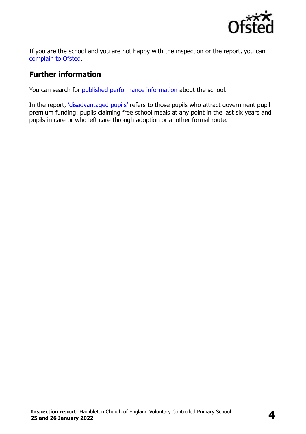

If you are the school and you are not happy with the inspection or the report, you can [complain to Ofsted.](https://www.gov.uk/complain-ofsted-report)

#### **Further information**

You can search for [published performance information](http://www.compare-school-performance.service.gov.uk/) about the school.

In the report, '[disadvantaged pupils](http://www.gov.uk/guidance/pupil-premium-information-for-schools-and-alternative-provision-settings)' refers to those pupils who attract government pupil premium funding: pupils claiming free school meals at any point in the last six years and pupils in care or who left care through adoption or another formal route.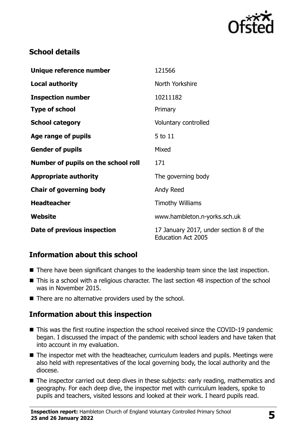

# **School details**

| Unique reference number             | 121566                                                               |
|-------------------------------------|----------------------------------------------------------------------|
| <b>Local authority</b>              | North Yorkshire                                                      |
| <b>Inspection number</b>            | 10211182                                                             |
| <b>Type of school</b>               | Primary                                                              |
| <b>School category</b>              | Voluntary controlled                                                 |
| Age range of pupils                 | 5 to 11                                                              |
| <b>Gender of pupils</b>             | Mixed                                                                |
| Number of pupils on the school roll | 171                                                                  |
| <b>Appropriate authority</b>        | The governing body                                                   |
| <b>Chair of governing body</b>      | Andy Reed                                                            |
| <b>Headteacher</b>                  | <b>Timothy Williams</b>                                              |
| Website                             | www.hambleton.n-yorks.sch.uk                                         |
| Date of previous inspection         | 17 January 2017, under section 8 of the<br><b>Education Act 2005</b> |

# **Information about this school**

- There have been significant changes to the leadership team since the last inspection.
- This is a school with a religious character. The last section 48 inspection of the school was in November 2015.
- There are no alternative providers used by the school.

# **Information about this inspection**

- This was the first routine inspection the school received since the COVID-19 pandemic began. I discussed the impact of the pandemic with school leaders and have taken that into account in my evaluation.
- The inspector met with the headteacher, curriculum leaders and pupils. Meetings were also held with representatives of the local governing body, the local authority and the diocese.
- The inspector carried out deep dives in these subjects: early reading, mathematics and geography. For each deep dive, the inspector met with curriculum leaders, spoke to pupils and teachers, visited lessons and looked at their work. I heard pupils read.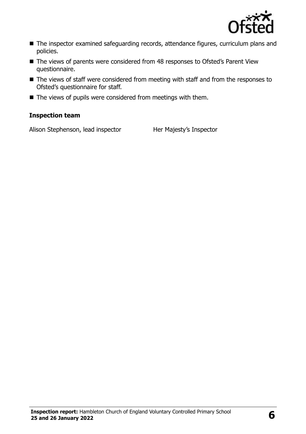

- The inspector examined safeguarding records, attendance figures, curriculum plans and policies.
- The views of parents were considered from 48 responses to Ofsted's Parent View questionnaire.
- The views of staff were considered from meeting with staff and from the responses to Ofsted's questionnaire for staff.
- The views of pupils were considered from meetings with them.

#### **Inspection team**

Alison Stephenson, lead inspector Her Majesty's Inspector